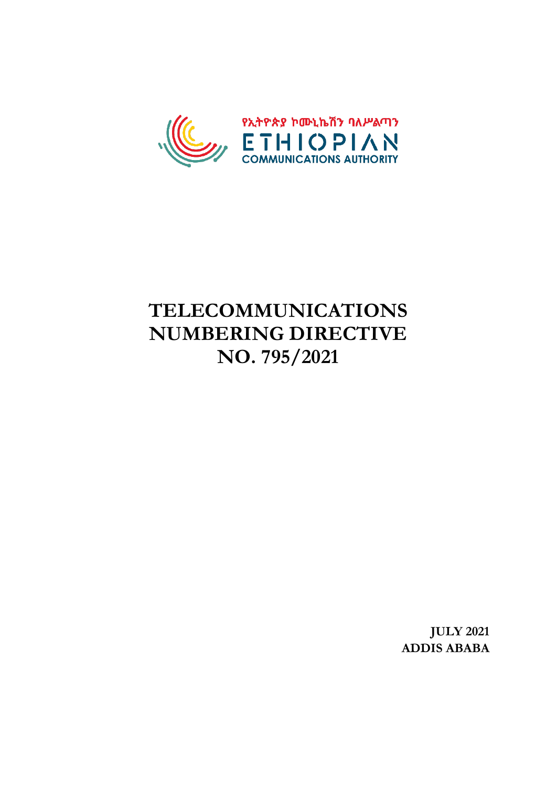

# **TELECOMMUNICATIONS NUMBERING DIRECTIVE NO. 795/2021**

**JULY 2021 ADDIS ABABA**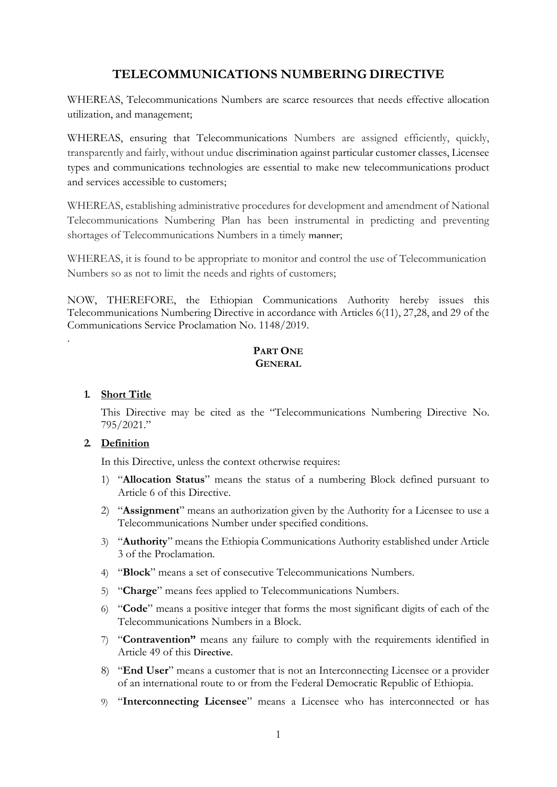# **TELECOMMUNICATIONS NUMBERING DIRECTIVE**

WHEREAS, Telecommunications Numbers are scarce resources that needs effective allocation utilization, and management;

WHEREAS, ensuring that Telecommunications Numbers are assigned efficiently, quickly, transparently and fairly, without undue discrimination against particular customer classes, Licensee types and communications technologies are essential to make new telecommunications product and services accessible to customers;

WHEREAS, establishing administrative procedures for development and amendment of National Telecommunications Numbering Plan has been instrumental in predicting and preventing shortages of Telecommunications Numbers in a timely manner;

WHEREAS, it is found to be appropriate to monitor and control the use of Telecommunication Numbers so as not to limit the needs and rights of customers;

NOW, THEREFORE, the Ethiopian Communications Authority hereby issues this Telecommunications Numbering Directive in accordance with Articles 6(11), 27,28, and 29 of the Communications Service Proclamation No. 1148/2019.

# **PART ONE GENERAL**

# **1. Short Title**

.

This Directive may be cited as the "Telecommunications Numbering Directive No. 795/2021."

# **2. Definition**

In this Directive, unless the context otherwise requires:

- 1) "**Allocation Status**" means the status of a numbering Block defined pursuant to Article 6 of this Directive.
- 2) "**Assignment**" means an authorization given by the Authority for a Licensee to use a Telecommunications Number under specified conditions.
- 3) "**Authority**" means the Ethiopia Communications Authority established under Article 3 of the Proclamation.
- 4) "**Block**" means a set of consecutive Telecommunications Numbers.
- 5) "**Charge**" means fees applied to Telecommunications Numbers.
- 6) "**Code**" means a positive integer that forms the most significant digits of each of the Telecommunications Numbers in a Block.
- 7) "**Contravention"** means any failure to comply with the requirements identified in Article 49 of this Directive.
- 8) "**End User**" means a customer that is not an Interconnecting Licensee or a provider of an international route to or from the Federal Democratic Republic of Ethiopia.
- 9) "**Interconnecting Licensee**" means a Licensee who has interconnected or has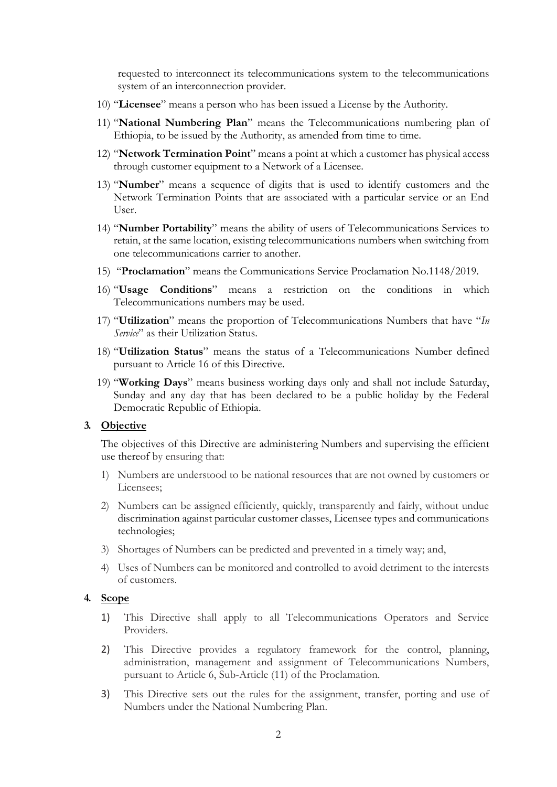requested to interconnect its telecommunications system to the telecommunications system of an interconnection provider.

- 10) "**Licensee**" means a person who has been issued a License by the Authority.
- 11) "**National Numbering Plan**" means the Telecommunications numbering plan of Ethiopia, to be issued by the Authority, as amended from time to time.
- 12) "**Network Termination Point**" means a point at which a customer has physical access through customer equipment to a Network of a Licensee.
- 13) "**Number**" means a sequence of digits that is used to identify customers and the Network Termination Points that are associated with a particular service or an End User.
- 14) "**Number Portability**" means the ability of users of Telecommunications Services to retain, at the same location, existing telecommunications numbers when switching from one telecommunications carrier to another.
- 15) "**Proclamation**" means the Communications Service Proclamation No.1148/2019.
- 16) "**Usage Conditions**" means a restriction on the conditions in which Telecommunications numbers may be used.
- 17) "**Utilization**" means the proportion of Telecommunications Numbers that have "*In Service*" as their Utilization Status.
- 18) "**Utilization Status**" means the status of a Telecommunications Number defined pursuant to Article 16 of this Directive.
- 19) "**Working Days**" means business working days only and shall not include Saturday, Sunday and any day that has been declared to be a public holiday by the Federal Democratic Republic of Ethiopia.

#### **3. Objective**

The objectives of this Directive are administering Numbers and supervising the efficient use thereof by ensuring that:

- 1) Numbers are understood to be national resources that are not owned by customers or Licensees;
- 2) Numbers can be assigned efficiently, quickly, transparently and fairly, without undue discrimination against particular customer classes, Licensee types and communications technologies;
- 3) Shortages of Numbers can be predicted and prevented in a timely way; and,
- 4) Uses of Numbers can be monitored and controlled to avoid detriment to the interests of customers.

#### **4. Scope**

- 1) This Directive shall apply to all Telecommunications Operators and Service Providers.
- 2) This Directive provides a regulatory framework for the control, planning, administration, management and assignment of Telecommunications Numbers, pursuant to Article 6, Sub-Article (11) of the Proclamation.
- 3) This Directive sets out the rules for the assignment, transfer, porting and use of Numbers under the National Numbering Plan.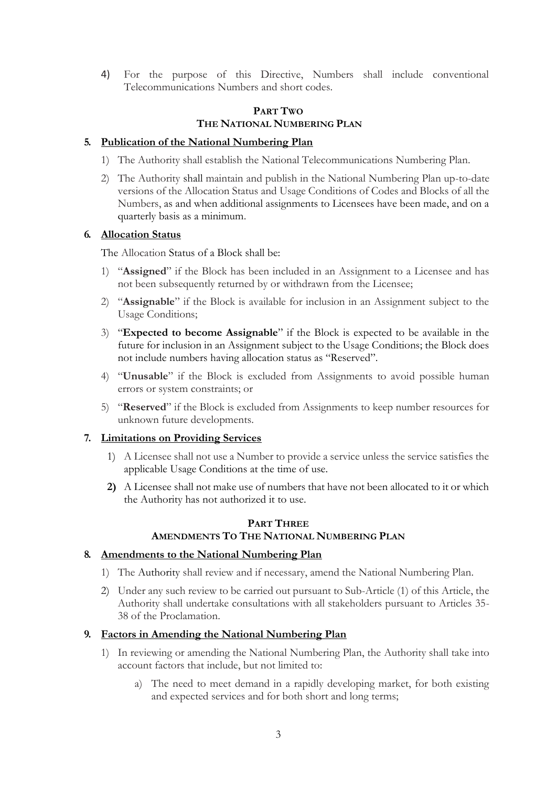4) For the purpose of this Directive, Numbers shall include conventional Telecommunications Numbers and short codes.

# **PART TWO THE NATIONAL NUMBERING PLAN**

#### **5. Publication of the National Numbering Plan**

- 1) The Authority shall establish the National Telecommunications Numbering Plan.
- 2) The Authority shall maintain and publish in the National Numbering Plan up-to-date versions of the Allocation Status and Usage Conditions of Codes and Blocks of all the Numbers, as and when additional assignments to Licensees have been made, and on a quarterly basis as a minimum.

#### **6. Allocation Status**

The Allocation Status of a Block shall be:

- 1) "**Assigned**" if the Block has been included in an Assignment to a Licensee and has not been subsequently returned by or withdrawn from the Licensee;
- 2) "**Assignable**" if the Block is available for inclusion in an Assignment subject to the Usage Conditions;
- 3) "**Expected to become Assignable**" if the Block is expected to be available in the future for inclusion in an Assignment subject to the Usage Conditions; the Block does not include numbers having allocation status as "Reserved".
- 4) "**Unusable**" if the Block is excluded from Assignments to avoid possible human errors or system constraints; or
- 5) "**Reserved**" if the Block is excluded from Assignments to keep number resources for unknown future developments.

# **7. Limitations on Providing Services**

- 1) A Licensee shall not use a Number to provide a service unless the service satisfies the applicable Usage Conditions at the time of use.
- **2)** A Licensee shall not make use of numbers that have not been allocated to it or which the Authority has not authorized it to use.

# **PART THREE AMENDMENTS TO THE NATIONAL NUMBERING PLAN**

#### **8. Amendments to the National Numbering Plan**

- 1) The Authority shall review and if necessary, amend the National Numbering Plan.
- 2) Under any such review to be carried out pursuant to Sub-Article (1) of this Article, the Authority shall undertake consultations with all stakeholders pursuant to Articles 35- 38 of the Proclamation.

# **9. Factors in Amending the National Numbering Plan**

- 1) In reviewing or amending the National Numbering Plan, the Authority shall take into account factors that include, but not limited to:
	- a) The need to meet demand in a rapidly developing market, for both existing and expected services and for both short and long terms;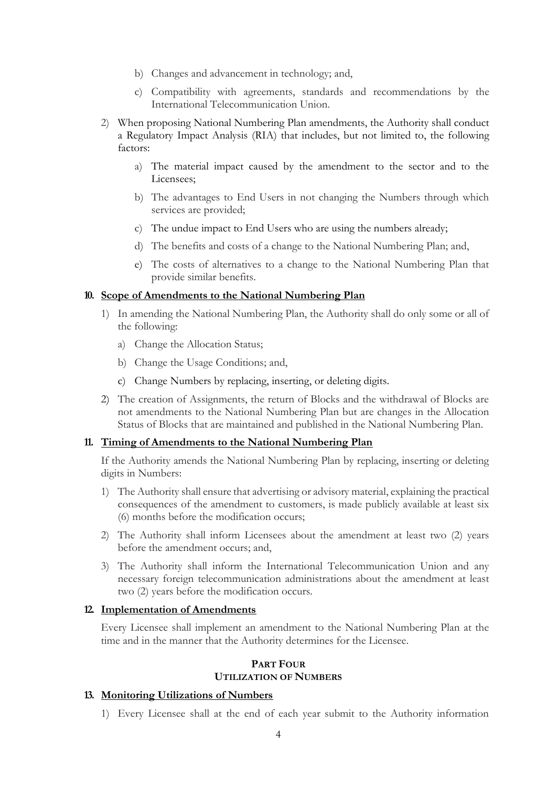- b) Changes and advancement in technology; and,
- c) Compatibility with agreements, standards and recommendations by the International Telecommunication Union.
- 2) When proposing National Numbering Plan amendments, the Authority shall conduct a Regulatory Impact Analysis (RIA) that includes, but not limited to, the following factors:
	- a) The material impact caused by the amendment to the sector and to the Licensees;
	- b) The advantages to End Users in not changing the Numbers through which services are provided;
	- c) The undue impact to End Users who are using the numbers already;
	- d) The benefits and costs of a change to the National Numbering Plan; and,
	- e) The costs of alternatives to a change to the National Numbering Plan that provide similar benefits.

#### **10. Scope of Amendments to the National Numbering Plan**

- 1) In amending the National Numbering Plan, the Authority shall do only some or all of the following:
	- a) Change the Allocation Status;
	- b) Change the Usage Conditions; and,
	- c) Change Numbers by replacing, inserting, or deleting digits.
- 2) The creation of Assignments, the return of Blocks and the withdrawal of Blocks are not amendments to the National Numbering Plan but are changes in the Allocation Status of Blocks that are maintained and published in the National Numbering Plan.

#### **11. Timing of Amendments to the National Numbering Plan**

If the Authority amends the National Numbering Plan by replacing, inserting or deleting digits in Numbers:

- 1) The Authority shall ensure that advertising or advisory material, explaining the practical consequences of the amendment to customers, is made publicly available at least six (6) months before the modification occurs;
- 2) The Authority shall inform Licensees about the amendment at least two (2) years before the amendment occurs; and,
- 3) The Authority shall inform the International Telecommunication Union and any necessary foreign telecommunication administrations about the amendment at least two (2) years before the modification occurs.

#### **12. Implementation of Amendments**

Every Licensee shall implement an amendment to the National Numbering Plan at the time and in the manner that the Authority determines for the Licensee.

#### **PART FOUR UTILIZATION OF NUMBERS**

#### **13. Monitoring Utilizations of Numbers**

1) Every Licensee shall at the end of each year submit to the Authority information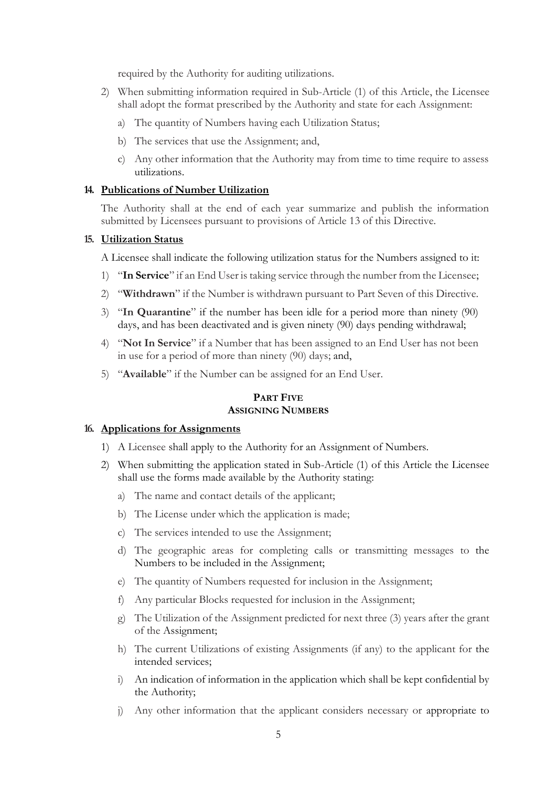required by the Authority for auditing utilizations.

- 2) When submitting information required in Sub-Article (1) of this Article, the Licensee shall adopt the format prescribed by the Authority and state for each Assignment:
	- a) The quantity of Numbers having each Utilization Status;
	- b) The services that use the Assignment; and,
	- c) Any other information that the Authority may from time to time require to assess utilizations.

#### **14. Publications of Number Utilization**

The Authority shall at the end of each year summarize and publish the information submitted by Licensees pursuant to provisions of Article 13 of this Directive.

#### **15. Utilization Status**

A Licensee shall indicate the following utilization status for the Numbers assigned to it:

- 1) "**In Service**" if an End User is taking service through the number from the Licensee;
- 2) "**Withdrawn**" if the Number is withdrawn pursuant to Part Seven of this Directive.
- 3) "**In Quarantine**" if the number has been idle for a period more than ninety (90) days, and has been deactivated and is given ninety (90) days pending withdrawal;
- 4) "**Not In Service**" if a Number that has been assigned to an End User has not been in use for a period of more than ninety (90) days; and,
- 5) "**Available**" if the Number can be assigned for an End User.

# **PART FIVE ASSIGNING NUMBERS**

#### **16. Applications for Assignments**

- 1) A Licensee shall apply to the Authority for an Assignment of Numbers.
- 2) When submitting the application stated in Sub-Article (1) of this Article the Licensee shall use the forms made available by the Authority stating:
	- a) The name and contact details of the applicant;
	- b) The License under which the application is made;
	- c) The services intended to use the Assignment;
	- d) The geographic areas for completing calls or transmitting messages to the Numbers to be included in the Assignment;
	- e) The quantity of Numbers requested for inclusion in the Assignment;
	- f) Any particular Blocks requested for inclusion in the Assignment;
	- g) The Utilization of the Assignment predicted for next three (3) years after the grant of the Assignment;
	- h) The current Utilizations of existing Assignments (if any) to the applicant for the intended services;
	- i) An indication of information in the application which shall be kept confidential by the Authority;
	- j) Any other information that the applicant considers necessary or appropriate to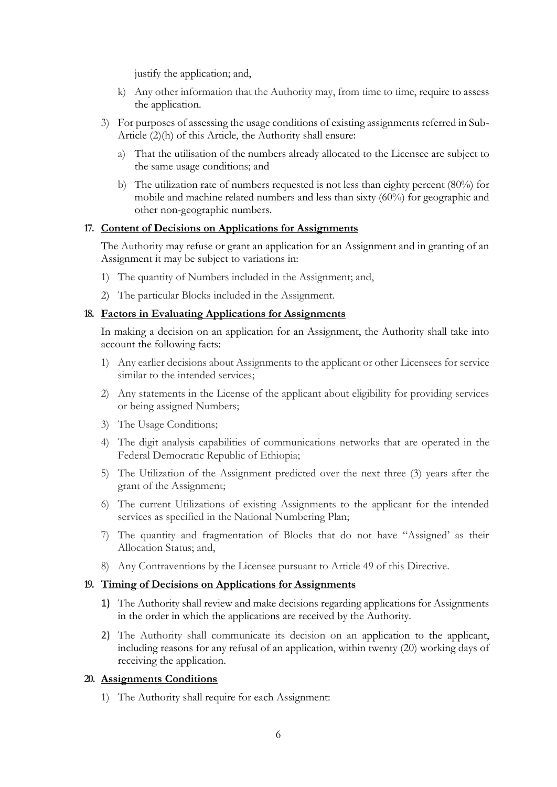justify the application; and,

- k) Any other information that the Authority may, from time to time, require to assess the application.
- 3) For purposes of assessing the usage conditions of existing assignments referred in Sub-Article (2)(h) of this Article, the Authority shall ensure:
	- a) That the utilisation of the numbers already allocated to the Licensee are subject to the same usage conditions; and
	- b) The utilization rate of numbers requested is not less than eighty percent (80%) for mobile and machine related numbers and less than sixty (60%) for geographic and other non-geographic numbers.

#### **17. Content of Decisions on Applications for Assignments**

The Authority may refuse or grant an application for an Assignment and in granting of an Assignment it may be subject to variations in:

- 1) The quantity of Numbers included in the Assignment; and,
- 2) The particular Blocks included in the Assignment.

#### **18. Factors in Evaluating Applications for Assignments**

In making a decision on an application for an Assignment, the Authority shall take into account the following facts:

- 1) Any earlier decisions about Assignments to the applicant or other Licensees for service similar to the intended services;
- 2) Any statements in the License of the applicant about eligibility for providing services or being assigned Numbers;
- 3) The Usage Conditions;
- 4) The digit analysis capabilities of communications networks that are operated in the Federal Democratic Republic of Ethiopia;
- 5) The Utilization of the Assignment predicted over the next three (3) years after the grant of the Assignment;
- 6) The current Utilizations of existing Assignments to the applicant for the intended services as specified in the National Numbering Plan;
- 7) The quantity and fragmentation of Blocks that do not have "Assigned' as their Allocation Status; and,
- 8) Any Contraventions by the Licensee pursuant to Article 49 of this Directive.

#### **19. Timing of Decisions on Applications for Assignments**

- 1) The Authority shall review and make decisions regarding applications for Assignments in the order in which the applications are received by the Authority.
- 2) The Authority shall communicate its decision on an application to the applicant, including reasons for any refusal of an application, within twenty (20) working days of receiving the application.

# **20. Assignments Conditions**

1) The Authority shall require for each Assignment: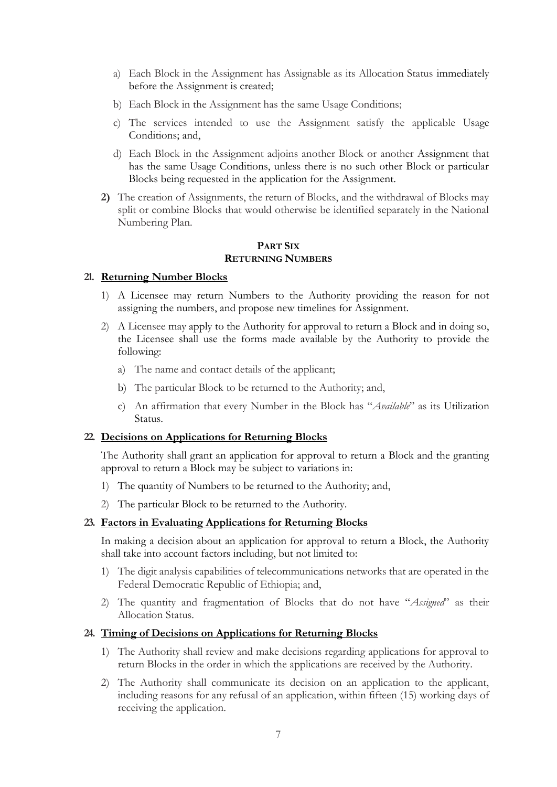- a) Each Block in the Assignment has Assignable as its Allocation Status immediately before the Assignment is created;
- b) Each Block in the Assignment has the same Usage Conditions;
- c) The services intended to use the Assignment satisfy the applicable Usage Conditions; and,
- d) Each Block in the Assignment adjoins another Block or another Assignment that has the same Usage Conditions, unless there is no such other Block or particular Blocks being requested in the application for the Assignment.
- **2)** The creation of Assignments, the return of Blocks, and the withdrawal of Blocks may split or combine Blocks that would otherwise be identified separately in the National Numbering Plan.

# **PART SIX RETURNING NUMBERS**

#### **21. Returning Number Blocks**

- 1) A Licensee may return Numbers to the Authority providing the reason for not assigning the numbers, and propose new timelines for Assignment.
- 2) A Licensee may apply to the Authority for approval to return a Block and in doing so, the Licensee shall use the forms made available by the Authority to provide the following:
	- a) The name and contact details of the applicant;
	- b) The particular Block to be returned to the Authority; and,
	- c) An affirmation that every Number in the Block has "*Available*" as its Utilization Status.

# **22. Decisions on Applications for Returning Blocks**

The Authority shall grant an application for approval to return a Block and the granting approval to return a Block may be subject to variations in:

- 1) The quantity of Numbers to be returned to the Authority; and,
- 2) The particular Block to be returned to the Authority.

#### **23. Factors in Evaluating Applications for Returning Blocks**

In making a decision about an application for approval to return a Block, the Authority shall take into account factors including, but not limited to:

- 1) The digit analysis capabilities of telecommunications networks that are operated in the Federal Democratic Republic of Ethiopia; and,
- 2) The quantity and fragmentation of Blocks that do not have "*Assigned*" as their Allocation Status.

#### **24. Timing of Decisions on Applications for Returning Blocks**

- 1) The Authority shall review and make decisions regarding applications for approval to return Blocks in the order in which the applications are received by the Authority.
- 2) The Authority shall communicate its decision on an application to the applicant, including reasons for any refusal of an application, within fifteen (15) working days of receiving the application.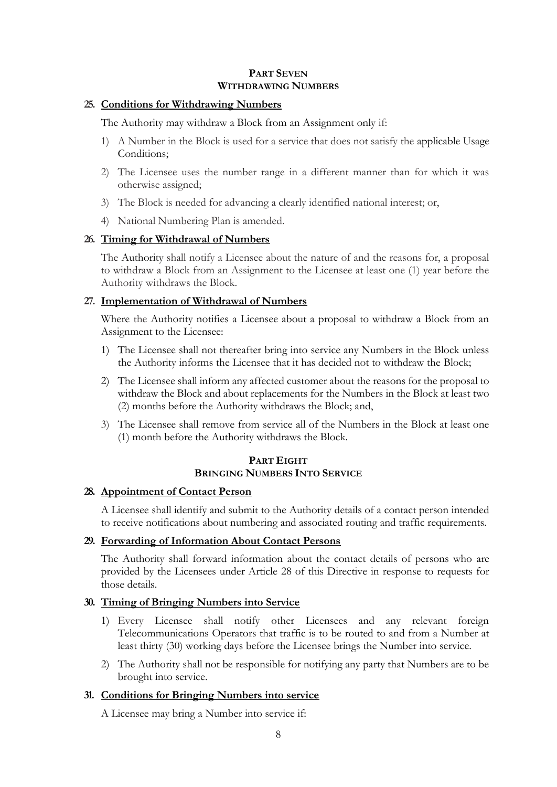#### **PART SEVEN WITHDRAWING NUMBERS**

#### **25. Conditions for Withdrawing Numbers**

The Authority may withdraw a Block from an Assignment only if:

- 1) A Number in the Block is used for a service that does not satisfy the applicable Usage Conditions;
- 2) The Licensee uses the number range in a different manner than for which it was otherwise assigned;
- 3) The Block is needed for advancing a clearly identified national interest; or,
- 4) National Numbering Plan is amended.

#### **26. Timing for Withdrawal of Numbers**

The Authority shall notify a Licensee about the nature of and the reasons for, a proposal to withdraw a Block from an Assignment to the Licensee at least one (1) year before the Authority withdraws the Block.

# **27. Implementation of Withdrawal of Numbers**

Where the Authority notifies a Licensee about a proposal to withdraw a Block from an Assignment to the Licensee:

- 1) The Licensee shall not thereafter bring into service any Numbers in the Block unless the Authority informs the Licensee that it has decided not to withdraw the Block;
- 2) The Licensee shall inform any affected customer about the reasons for the proposal to withdraw the Block and about replacements for the Numbers in the Block at least two (2) months before the Authority withdraws the Block; and,
- 3) The Licensee shall remove from service all of the Numbers in the Block at least one (1) month before the Authority withdraws the Block.

# **PART EIGHT BRINGING NUMBERS INTO SERVICE**

## **28. Appointment of Contact Person**

A Licensee shall identify and submit to the Authority details of a contact person intended to receive notifications about numbering and associated routing and traffic requirements.

# **29. Forwarding of Information About Contact Persons**

The Authority shall forward information about the contact details of persons who are provided by the Licensees under Article 28 of this Directive in response to requests for those details.

# **30. Timing of Bringing Numbers into Service**

- 1) Every Licensee shall notify other Licensees and any relevant foreign Telecommunications Operators that traffic is to be routed to and from a Number at least thirty (30) working days before the Licensee brings the Number into service.
- 2) The Authority shall not be responsible for notifying any party that Numbers are to be brought into service.

#### **31. Conditions for Bringing Numbers into service**

A Licensee may bring a Number into service if: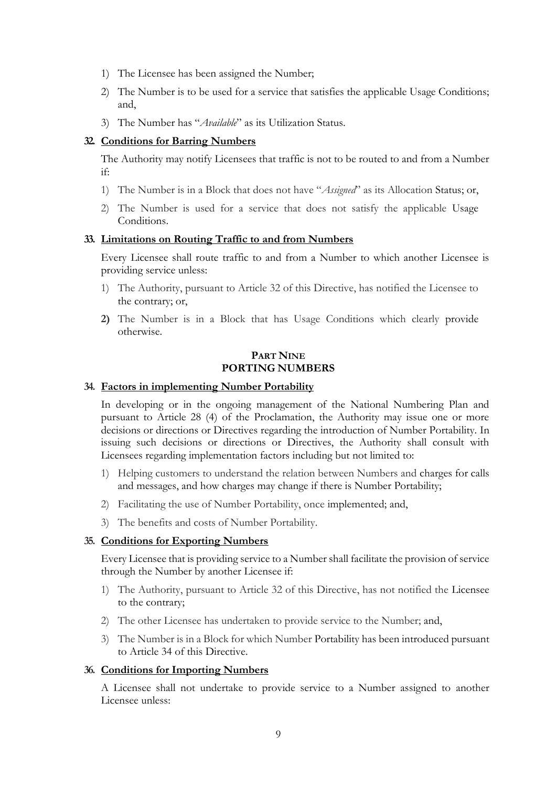- 1) The Licensee has been assigned the Number;
- 2) The Number is to be used for a service that satisfies the applicable Usage Conditions; and,
- 3) The Number has "*Available*" as its Utilization Status.

## **32. Conditions for Barring Numbers**

The Authority may notify Licensees that traffic is not to be routed to and from a Number if:

- 1) The Number is in a Block that does not have "*Assigned*" as its Allocation Status; or,
- 2) The Number is used for a service that does not satisfy the applicable Usage Conditions.

#### **33. Limitations on Routing Traffic to and from Numbers**

Every Licensee shall route traffic to and from a Number to which another Licensee is providing service unless:

- 1) The Authority, pursuant to Article 32 of this Directive, has notified the Licensee to the contrary; or,
- **2)** The Number is in a Block that has Usage Conditions which clearly provide otherwise.

# **PART NINE PORTING NUMBERS**

#### **34. Factors in implementing Number Portability**

In developing or in the ongoing management of the National Numbering Plan and pursuant to Article 28 (4) of the Proclamation, the Authority may issue one or more decisions or directions or Directives regarding the introduction of Number Portability. In issuing such decisions or directions or Directives, the Authority shall consult with Licensees regarding implementation factors including but not limited to:

- 1) Helping customers to understand the relation between Numbers and charges for calls and messages, and how charges may change if there is Number Portability;
- 2) Facilitating the use of Number Portability, once implemented; and,
- 3) The benefits and costs of Number Portability.

# **35. Conditions for Exporting Numbers**

Every Licensee that is providing service to a Number shall facilitate the provision of service through the Number by another Licensee if:

- 1) The Authority, pursuant to Article 32 of this Directive, has not notified the Licensee to the contrary;
- 2) The other Licensee has undertaken to provide service to the Number; and,
- 3) The Number is in a Block for which Number Portability has been introduced pursuant to Article 34 of this Directive.

#### **36. Conditions for Importing Numbers**

A Licensee shall not undertake to provide service to a Number assigned to another Licensee unless: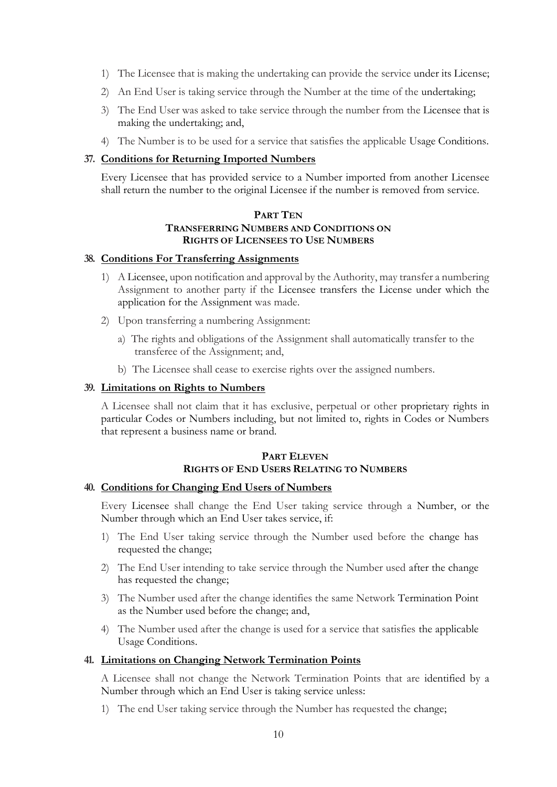- 1) The Licensee that is making the undertaking can provide the service under its License;
- 2) An End User is taking service through the Number at the time of the undertaking;
- 3) The End User was asked to take service through the number from the Licensee that is making the undertaking; and,
- 4) The Number is to be used for a service that satisfies the applicable Usage Conditions.

#### **37. Conditions for Returning Imported Numbers**

Every Licensee that has provided service to a Number imported from another Licensee shall return the number to the original Licensee if the number is removed from service.

# **PART TEN TRANSFERRING NUMBERS AND CONDITIONS ON RIGHTS OF LICENSEES TO USE NUMBERS**

#### **38. Conditions For Transferring Assignments**

- 1) A Licensee, upon notification and approval by the Authority, may transfer a numbering Assignment to another party if the Licensee transfers the License under which the application for the Assignment was made.
- 2) Upon transferring a numbering Assignment:
	- a) The rights and obligations of the Assignment shall automatically transfer to the transferee of the Assignment; and,
	- b) The Licensee shall cease to exercise rights over the assigned numbers.

## **39. Limitations on Rights to Numbers**

A Licensee shall not claim that it has exclusive, perpetual or other proprietary rights in particular Codes or Numbers including, but not limited to, rights in Codes or Numbers that represent a business name or brand.

# **PART ELEVEN RIGHTS OF END USERS RELATING TO NUMBERS**

#### **40. Conditions for Changing End Users of Numbers**

Every Licensee shall change the End User taking service through a Number, or the Number through which an End User takes service, if:

- 1) The End User taking service through the Number used before the change has requested the change;
- 2) The End User intending to take service through the Number used after the change has requested the change;
- 3) The Number used after the change identifies the same Network Termination Point as the Number used before the change; and,
- 4) The Number used after the change is used for a service that satisfies the applicable Usage Conditions.

#### **41. Limitations on Changing Network Termination Points**

A Licensee shall not change the Network Termination Points that are identified by a Number through which an End User is taking service unless:

1) The end User taking service through the Number has requested the change;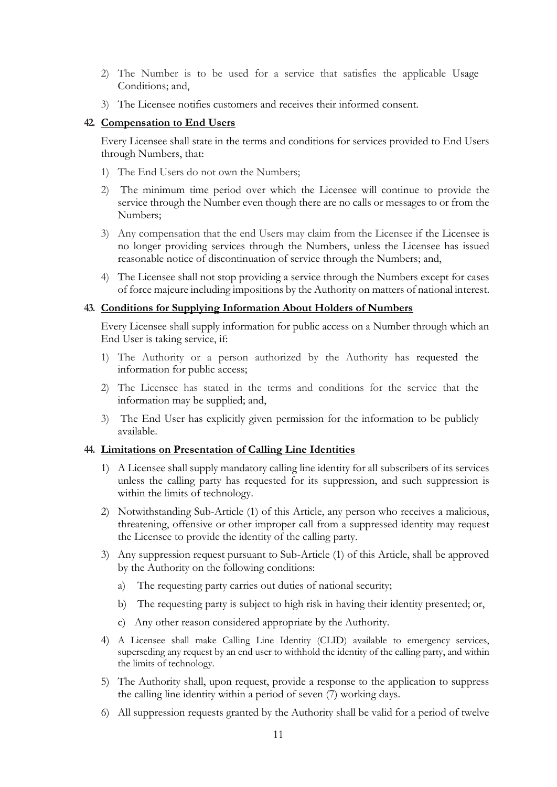- 2) The Number is to be used for a service that satisfies the applicable Usage Conditions; and,
- 3) The Licensee notifies customers and receives their informed consent.

## **42. Compensation to End Users**

Every Licensee shall state in the terms and conditions for services provided to End Users through Numbers, that:

- 1) The End Users do not own the Numbers;
- 2) The minimum time period over which the Licensee will continue to provide the service through the Number even though there are no calls or messages to or from the Numbers;
- 3) Any compensation that the end Users may claim from the Licensee if the Licensee is no longer providing services through the Numbers, unless the Licensee has issued reasonable notice of discontinuation of service through the Numbers; and,
- 4) The Licensee shall not stop providing a service through the Numbers except for cases of force majeure including impositions by the Authority on matters of national interest.

#### **43. Conditions for Supplying Information About Holders of Numbers**

Every Licensee shall supply information for public access on a Number through which an End User is taking service, if:

- 1) The Authority or a person authorized by the Authority has requested the information for public access;
- 2) The Licensee has stated in the terms and conditions for the service that the information may be supplied; and,
- 3) The End User has explicitly given permission for the information to be publicly available.

#### **44. Limitations on Presentation of Calling Line Identities**

- 1) A Licensee shall supply mandatory calling line identity for all subscribers of its services unless the calling party has requested for its suppression, and such suppression is within the limits of technology.
- 2) Notwithstanding Sub-Article (1) of this Article, any person who receives a malicious, threatening, offensive or other improper call from a suppressed identity may request the Licensee to provide the identity of the calling party.
- 3) Any suppression request pursuant to Sub-Article (1) of this Article, shall be approved by the Authority on the following conditions:
	- a) The requesting party carries out duties of national security;
	- b) The requesting party is subject to high risk in having their identity presented; or,
	- c) Any other reason considered appropriate by the Authority.
- 4) A Licensee shall make Calling Line Identity (CLID) available to emergency services, superseding any request by an end user to withhold the identity of the calling party, and within the limits of technology.
- 5) The Authority shall, upon request, provide a response to the application to suppress the calling line identity within a period of seven (7) working days.
- 6) All suppression requests granted by the Authority shall be valid for a period of twelve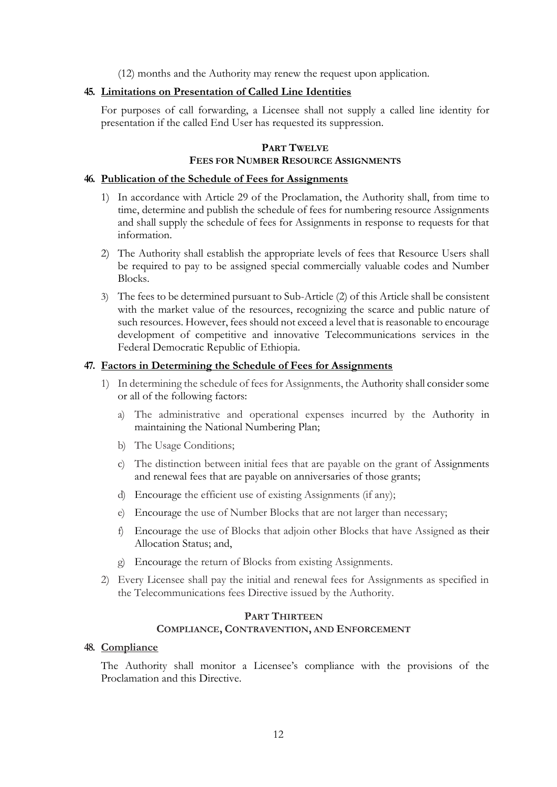(12) months and the Authority may renew the request upon application.

# **45. Limitations on Presentation of Called Line Identities**

For purposes of call forwarding, a Licensee shall not supply a called line identity for presentation if the called End User has requested its suppression.

# **PART TWELVE FEES FOR NUMBER RESOURCE ASSIGNMENTS**

# **46. Publication of the Schedule of Fees for Assignments**

- 1) In accordance with Article 29 of the Proclamation, the Authority shall, from time to time, determine and publish the schedule of fees for numbering resource Assignments and shall supply the schedule of fees for Assignments in response to requests for that information.
- 2) The Authority shall establish the appropriate levels of fees that Resource Users shall be required to pay to be assigned special commercially valuable codes and Number Blocks.
- 3) The fees to be determined pursuant to Sub-Article (2) of this Article shall be consistent with the market value of the resources, recognizing the scarce and public nature of such resources. However, fees should not exceed a level that is reasonable to encourage development of competitive and innovative Telecommunications services in the Federal Democratic Republic of Ethiopia.

## **47. Factors in Determining the Schedule of Fees for Assignments**

- 1) In determining the schedule of fees for Assignments, the Authority shall consider some or all of the following factors:
	- a) The administrative and operational expenses incurred by the Authority in maintaining the National Numbering Plan;
	- b) The Usage Conditions;
	- c) The distinction between initial fees that are payable on the grant of Assignments and renewal fees that are payable on anniversaries of those grants;
	- d) Encourage the efficient use of existing Assignments (if any);
	- e) Encourage the use of Number Blocks that are not larger than necessary;
	- f) Encourage the use of Blocks that adjoin other Blocks that have Assigned as their Allocation Status; and,
	- g) Encourage the return of Blocks from existing Assignments.
- 2) Every Licensee shall pay the initial and renewal fees for Assignments as specified in the Telecommunications fees Directive issued by the Authority.

#### **PART THIRTEEN COMPLIANCE, CONTRAVENTION, AND ENFORCEMENT**

#### **48. Compliance**

The Authority shall monitor a Licensee's compliance with the provisions of the Proclamation and this Directive.